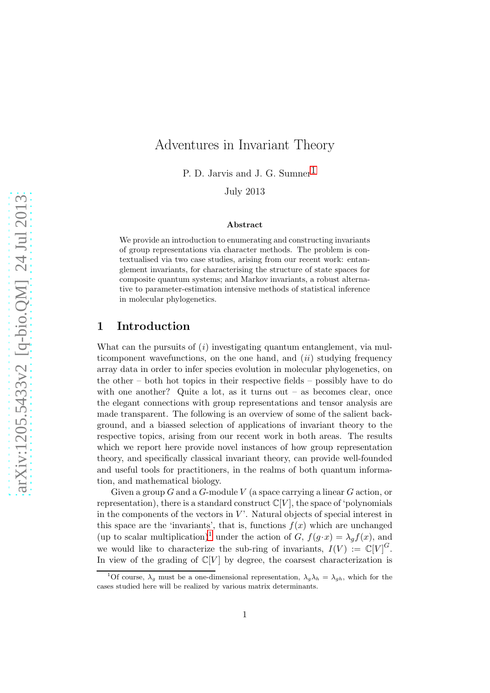# Adventures in Invariant Theory

P. D. Jarvis and J. G. Sumner<sup>[1](#page-11-0)</sup>

July 2013

#### Abstract

We provide an introduction to enumerating and constructing invariants of group representations via character methods. The problem is contextualised via two case studies, arising from our recent work: entanglement invariants, for characterising the structure of state spaces for composite quantum systems; and Markov invariants, a robust alternative to parameter-estimation intensive methods of statistical inference in molecular phylogenetics.

# 1 Introduction

What can the pursuits of (*i*) investigating quantum entanglement, via multicomponent wavefunctions, on the one hand, and (*ii*) studying frequency array data in order to infer species evolution in molecular phylogenetics, on the other – both hot topics in their respective fields – possibly have to do with one another? Quite a lot, as it turns out  $-$  as becomes clear, once the elegant connections with group representations and tensor analysis are made transparent. The following is an overview of some of the salient background, and a biassed selection of applications of invariant theory to the respective topics, arising from our recent work in both areas. The results which we report here provide novel instances of how group representation theory, and specifically classical invariant theory, can provide well-founded and useful tools for practitioners, in the realms of both quantum information, and mathematical biology.

Given a group  $G$  and a  $G$ -module  $V$  (a space carrying a linear  $G$  action, or representation), there is a standard construct  $\mathbb{C}[V]$ , the space of 'polynomials in the components of the vectors in  $V'$ . Natural objects of special interest in this space are the 'invariants', that is, functions  $f(x)$  which are unchanged (up to scalar multiplication)<sup>[1](#page-0-0)</sup> under the action of G,  $f(g \cdot x) = \lambda_g f(x)$ , and we would like to characterize the sub-ring of invariants,  $I(V) := \mathbb{C}[V]^G$ . In view of the grading of  $\mathbb{C}[V]$  by degree, the coarsest characterization is

<span id="page-0-0"></span><sup>&</sup>lt;sup>1</sup>Of course,  $\lambda_q$  must be a one-dimensional representation,  $\lambda_q \lambda_h = \lambda_{qh}$ , which for the cases studied here will be realized by various matrix determinants.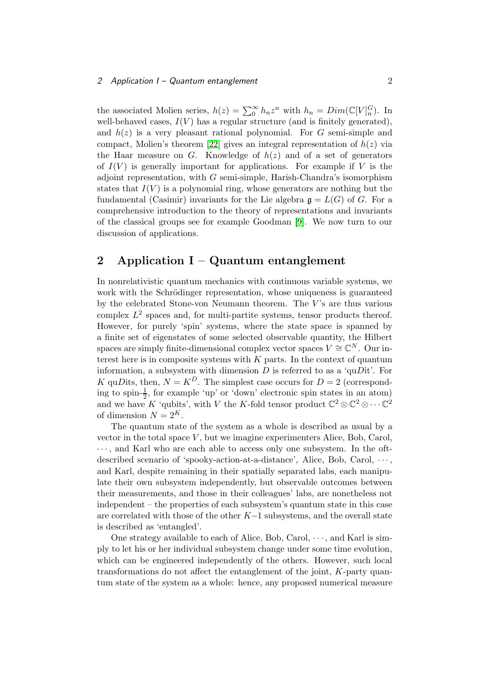#### 2 Application I – Quantum entanglement 2

the associated Molien series,  $h(z) = \sum_{n=0}^{\infty} h_n z^n$  with  $h_n = Dim(\mathbb{C}[V]_n^G)$ . In well-behaved cases,  $I(V)$  has a regular structure (and is finitely generated), and  $h(z)$  is a very pleasant rational polynomial. For G semi-simple and compact, Molien's theorem [\[22\]](#page-10-0) gives an integral representation of  $h(z)$  via the Haar measure on G. Knowledge of  $h(z)$  and of a set of generators of  $I(V)$  is generally important for applications. For example if V is the adjoint representation, with G semi-simple, Harish-Chandra's isomorphism states that  $I(V)$  is a polynomial ring, whose generators are nothing but the fundamental (Casimir) invariants for the Lie algebra  $\mathfrak{g} = L(G)$  of G. For a comprehensive introduction to the theory of representations and invariants of the classical groups see for example Goodman [\[9\]](#page-9-0). We now turn to our discussion of applications.

# 2 Application  $I -$ Quantum entanglement

In nonrelativistic quantum mechanics with continuous variable systems, we work with the Schrödinger representation, whose uniqueness is guaranteed by the celebrated Stone-von Neumann theorem. The  $V$ 's are thus various complex  $L^2$  spaces and, for multi-partite systems, tensor products thereof. However, for purely 'spin' systems, where the state space is spanned by a finite set of eigenstates of some selected observable quantity, the Hilbert spaces are simply finite-dimensional complex vector spaces  $V \cong \mathbb{C}^N$ . Our interest here is in composite systems with  $K$  parts. In the context of quantum information, a subsystem with dimension  $D$  is referred to as a 'qu $D$ it'. For K quDits, then,  $N = K^D$ . The simplest case occurs for  $D = 2$  (corresponding to spin- $\frac{1}{2}$ , for example 'up' or 'down' electronic spin states in an atom) and we have K 'qubits', with V the K-fold tensor product  $\mathbb{C}^2 \otimes \mathbb{C}^2 \otimes \cdots \mathbb{C}^2$ of dimension  $N = 2^K$ .

The quantum state of the system as a whole is described as usual by a vector in the total space  $V$ , but we imagine experimenters Alice, Bob, Carol,  $\cdots$ , and Karl who are each able to access only one subsystem. In the oftdescribed scenario of 'spooky-action-at-a-distance', Alice, Bob, Carol,  $\cdots$ , and Karl, despite remaining in their spatially separated labs, each manipulate their own subsystem independently, but observable outcomes between their measurements, and those in their colleagues' labs, are nonetheless not independent – the properties of each subsystem's quantum state in this case are correlated with those of the other K−1 subsystems, and the overall state is described as 'entangled'.

One strategy available to each of Alice, Bob, Carol,  $\cdots$ , and Karl is simply to let his or her individual subsystem change under some time evolution, which can be engineered independently of the others. However, such local transformations do not affect the entanglement of the joint, K-party quantum state of the system as a whole: hence, any proposed numerical measure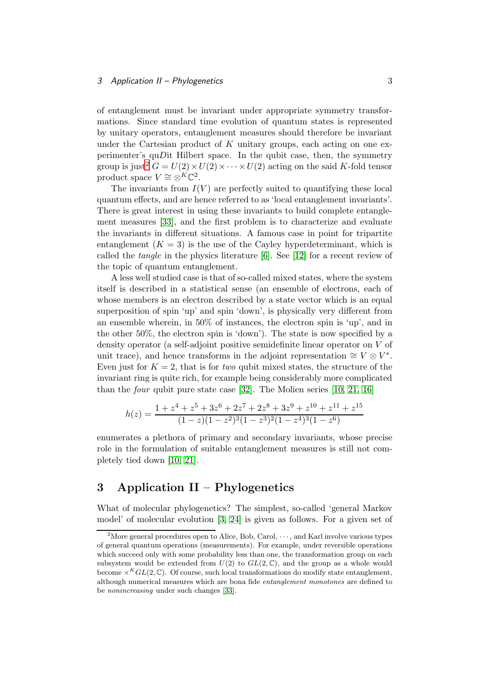#### 3 Application II – Phylogenetics 3 3

of entanglement must be invariant under appropriate symmetry transformations. Since standard time evolution of quantum states is represented by unitary operators, entanglement measures should therefore be invariant under the Cartesian product of  $K$  unitary groups, each acting on one experimenter's quDit Hilbert space. In the qubit case, then, the symmetry group is just<sup>[2](#page-2-0)</sup>  $G = U(2) \times U(2) \times \cdots \times U(2)$  acting on the said K-fold tensor product space  $V \cong \otimes^{K} \mathbb{C}^2$ .

The invariants from  $I(V)$  are perfectly suited to quantifying these local quantum effects, and are hence referred to as 'local entanglement invariants'. There is great interest in using these invariants to build complete entanglement measures [\[33\]](#page-10-1), and the first problem is to characterize and evaluate the invariants in different situations. A famous case in point for tripartite entanglement  $(K = 3)$  is the use of the Cayley hyperdeterminant, which is called the *tangle* in the physics literature [\[6\]](#page-9-1). See [\[12\]](#page-9-2) for a recent review of the topic of quantum entanglement.

A less well studied case is that of so-called mixed states, where the system itself is described in a statistical sense (an ensemble of electrons, each of whose members is an electron described by a state vector which is an equal superposition of spin 'up' and spin 'down', is physically very different from an ensemble wherein, in 50% of instances, the electron spin is 'up', and in the other 50%, the electron spin is 'down'). The state is now specified by a density operator (a self-adjoint positive semidefinite linear operator on V of unit trace), and hence transforms in the adjoint representation  $\cong V \otimes V^*$ . Even just for  $K = 2$ , that is for *two* qubit mixed states, the structure of the invariant ring is quite rich, for example being considerably more complicated than the *four* qubit pure state case [\[32\]](#page-10-2). The Molien series [\[10,](#page-9-3) [21,](#page-10-3) [16\]](#page-9-4)

$$
h(z) = \frac{1 + z^4 + z^5 + 3z^6 + 2z^7 + 2z^8 + 3z^9 + z^{10} + z^{11} + z^{15}}{(1 - z)(1 - z^2)^3(1 - z^3)^2(1 - z^4)^3(1 - z^6)}
$$

enumerates a plethora of primary and secondary invariants, whose precise role in the formulation of suitable entanglement measures is still not completely tied down [\[10,](#page-9-3) [21\]](#page-10-3).

# 3 Application II – Phylogenetics

What of molecular phylogenetics? The simplest, so-called 'general Markov model' of molecular evolution [\[3,](#page-9-5) [24\]](#page-10-4) is given as follows. For a given set of

<span id="page-2-0"></span><sup>&</sup>lt;sup>2</sup>More general procedures open to Alice, Bob, Carol,  $\cdots$ , and Karl involve various types of general quantum operations (measurements). For example, under reversible operations which succeed only with some probability less than one, the transformation group on each subsystem would be extended from  $U(2)$  to  $GL(2,\mathbb{C})$ , and the group as a whole would become  $\times^K GL(2,\mathbb{C})$ . Of course, such local transformations do modify state entanglement, although numerical measures which are bona fide entanglement monotones are defined to be nonincreasing under such changes [\[33\]](#page-10-1).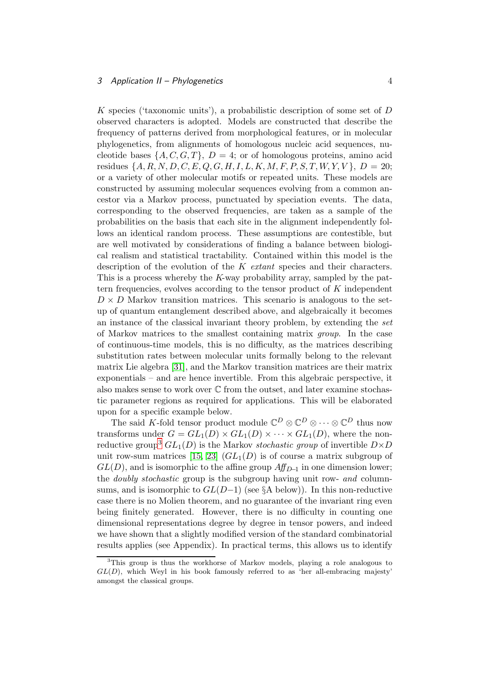K species ('taxonomic units'), a probabilistic description of some set of D observed characters is adopted. Models are constructed that describe the frequency of patterns derived from morphological features, or in molecular phylogenetics, from alignments of homologous nucleic acid sequences, nucleotide bases  $\{A, C, G, T\}, D = 4$ ; or of homologous proteins, amino acid residues  $\{A, R, N, D, C, E, Q, G, H, I, L, K, M, F, P, S, T, W, Y, V\}, D = 20;$ or a variety of other molecular motifs or repeated units. These models are constructed by assuming molecular sequences evolving from a common ancestor via a Markov process, punctuated by speciation events. The data, corresponding to the observed frequencies, are taken as a sample of the probabilities on the basis that each site in the alignment independently follows an identical random process. These assumptions are contestible, but are well motivated by considerations of finding a balance between biological realism and statistical tractability. Contained within this model is the description of the evolution of the K *extant* species and their characters. This is a process whereby the K-way probability array, sampled by the pattern frequencies, evolves according to the tensor product of K independent  $D \times D$  Markov transition matrices. This scenario is analogous to the setup of quantum entanglement described above, and algebraically it becomes an instance of the classical invariant theory problem, by extending the *set* of Markov matrices to the smallest containing matrix *group*. In the case of continuous-time models, this is no difficulty, as the matrices describing substitution rates between molecular units formally belong to the relevant matrix Lie algebra [\[31\]](#page-10-5), and the Markov transition matrices are their matrix exponentials – and are hence invertible. From this algebraic perspective, it also makes sense to work over  $\mathbb C$  from the outset, and later examine stochastic parameter regions as required for applications. This will be elaborated upon for a specific example below.

The said K-fold tensor product module  $\mathbb{C}^D \otimes \mathbb{C}^D \otimes \cdots \otimes \mathbb{C}^D$  thus now transforms under  $G = GL_1(D) \times GL_1(D) \times \cdots \times GL_1(D)$ , where the non-reductive group<sup>[3](#page-3-0)</sup>  $GL_1(D)$  is the Markov *stochastic group* of invertible  $D \times D$ unit row-sum matrices [\[15,](#page-9-6) [23\]](#page-10-6)  $(GL_1(D)$  is of course a matrix subgroup of  $GL(D)$ , and is isomorphic to the affine group  $Aff_{D-1}$  in one dimension lower; the *doubly stochastic* group is the subgroup having unit row- *and* columnsums, and is isomorphic to  $GL(D-1)$  (see §A below)). In this non-reductive case there is no Molien theorem, and no guarantee of the invariant ring even being finitely generated. However, there is no difficulty in counting one dimensional representations degree by degree in tensor powers, and indeed we have shown that a slightly modified version of the standard combinatorial results applies (see Appendix). In practical terms, this allows us to identify

<span id="page-3-0"></span><sup>&</sup>lt;sup>3</sup>This group is thus the workhorse of Markov models, playing a role analogous to  $GL(D)$ , which Weyl in his book famously referred to as 'her all-embracing majesty' amongst the classical groups.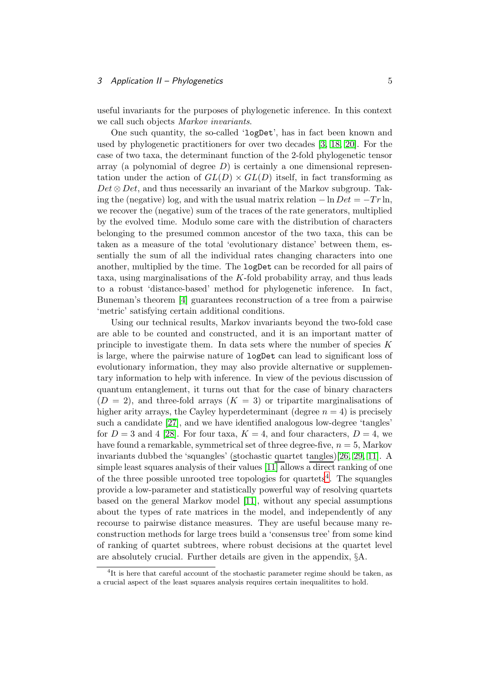#### 3 Application II – Phylogenetics 5

useful invariants for the purposes of phylogenetic inference. In this context we call such objects *Markov invariants*.

One such quantity, the so-called 'logDet', has in fact been known and used by phylogenetic practitioners for over two decades [\[3,](#page-9-5) [18,](#page-10-7) [20\]](#page-10-8). For the case of two taxa, the determinant function of the 2-fold phylogenetic tensor array (a polynomial of degree  $D$ ) is certainly a one dimensional representation under the action of  $GL(D) \times GL(D)$  itself, in fact transforming as  $Det \otimes Det$ , and thus necessarily an invariant of the Markov subgroup. Taking the (negative) log, and with the usual matrix relation  $-\ln Det = -Tr \ln$ , we recover the (negative) sum of the traces of the rate generators, multiplied by the evolved time. Modulo some care with the distribution of characters belonging to the presumed common ancestor of the two taxa, this can be taken as a measure of the total 'evolutionary distance' between them, essentially the sum of all the individual rates changing characters into one another, multiplied by the time. The logDet can be recorded for all pairs of taxa, using marginalisations of the  $K$ -fold probability array, and thus leads to a robust 'distance-based' method for phylogenetic inference. In fact, Buneman's theorem [\[4\]](#page-9-7) guarantees reconstruction of a tree from a pairwise 'metric' satisfying certain additional conditions.

Using our technical results, Markov invariants beyond the two-fold case are able to be counted and constructed, and it is an important matter of principle to investigate them. In data sets where the number of species  $K$ is large, where the pairwise nature of logDet can lead to significant loss of evolutionary information, they may also provide alternative or supplementary information to help with inference. In view of the pevious discussion of quantum entanglement, it turns out that for the case of binary characters  $(D = 2)$ , and three-fold arrays  $(K = 3)$  or tripartite marginalisations of higher arity arrays, the Cayley hyperdeterminant (degree  $n = 4$ ) is precisely such a candidate [\[27\]](#page-10-9), and we have identified analogous low-degree 'tangles' for  $D = 3$  and 4 [\[28\]](#page-10-10). For four taxa,  $K = 4$ , and four characters,  $D = 4$ , we have found a remarkable, symmetrical set of three degree-five,  $n = 5$ , Markov invariants dubbed the 'squangles' (stochastic quartet tangles)[\[26,](#page-10-11) [29,](#page-10-12) [11\]](#page-9-8). A simple least squares analysis of their values [\[11\]](#page-9-8) allows a direct ranking of one of the three possible unrooted tree topologies for quartets<sup>[4](#page-4-0)</sup>. The squangles provide a low-parameter and statistically powerful way of resolving quartets based on the general Markov model [\[11\]](#page-9-8), without any special assumptions about the types of rate matrices in the model, and independently of any recourse to pairwise distance measures. They are useful because many reconstruction methods for large trees build a 'consensus tree' from some kind of ranking of quartet subtrees, where robust decisions at the quartet level are absolutely crucial. Further details are given in the appendix, §A.

<span id="page-4-0"></span><sup>&</sup>lt;sup>4</sup>It is here that careful account of the stochastic parameter regime should be taken, as a crucial aspect of the least squares analysis requires certain inequalitites to hold.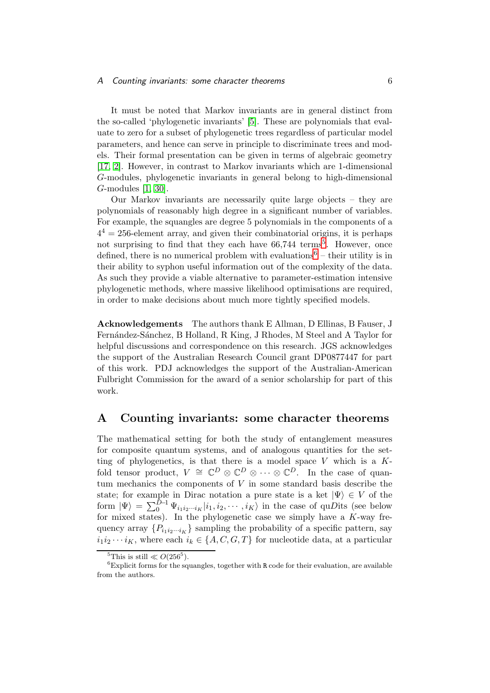It must be noted that Markov invariants are in general distinct from the so-called 'phylogenetic invariants' [\[5\]](#page-9-9). These are polynomials that evaluate to zero for a subset of phylogenetic trees regardless of particular model parameters, and hence can serve in principle to discriminate trees and models. Their formal presentation can be given in terms of algebraic geometry [\[17,](#page-10-13) [2\]](#page-9-10). However, in contrast to Markov invariants which are 1-dimensional G-modules, phylogenetic invariants in general belong to high-dimensional G-modules [\[1,](#page-9-11) [30\]](#page-10-14).

Our Markov invariants are necessarily quite large objects – they are polynomials of reasonably high degree in a significant number of variables. For example, the squangles are degree 5 polynomials in the components of a  $4<sup>4</sup> = 256$ -element array, and given their combinatorial origins, it is perhaps not surprising to find that they each have 66,744 terms<sup>[5](#page-5-0)</sup>. However, once defined, there is no numerical problem with evaluations<sup>[6](#page-5-1)</sup> – their utility is in their ability to syphon useful information out of the complexity of the data. As such they provide a viable alternative to parameter-estimation intensive phylogenetic methods, where massive likelihood optimisations are required, in order to make decisions about much more tightly specified models.

Acknowledgements The authors thank E Allman, D Ellinas, B Fauser, J Fernández-Sánchez, B Holland, R King, J Rhodes, M Steel and A Taylor for helpful discussions and correspondence on this research. JGS acknowledges the support of the Australian Research Council grant DP0877447 for part of this work. PDJ acknowledges the support of the Australian-American Fulbright Commission for the award of a senior scholarship for part of this work.

# A Counting invariants: some character theorems

The mathematical setting for both the study of entanglement measures for composite quantum systems, and of analogous quantities for the setting of phylogenetics, is that there is a model space  $V$  which is a  $K$ fold tensor product,  $V \cong \mathbb{C}^D \otimes \mathbb{C}^D \otimes \cdots \otimes \mathbb{C}^D$ . In the case of quantum mechanics the components of V in some standard basis describe the state; for example in Dirac notation a pure state is a ket  $|\Psi\rangle \in V$  of the form  $|\Psi\rangle = \sum_{0}^{D-1} \Psi_{i_1 i_2 \cdots i_K} |i_1, i_2, \cdots, i_K\rangle$  in the case of quDits (see below for mixed states). In the phylogenetic case we simply have a  $K$ -way frequency array  $\{P_{i_1i_2\cdots i_K}\}\$  sampling the probability of a specific pattern, say  $i_1i_2 \cdots i_K$ , where each  $i_k \in \{A, C, G, T\}$  for nucleotide data, at a particular

<span id="page-5-0"></span><sup>&</sup>lt;sup>5</sup>This is still  $\ll O(256^5)$ .

<span id="page-5-1"></span> ${}^{6}$ Explicit forms for the squangles, together with R code for their evaluation, are available from the authors.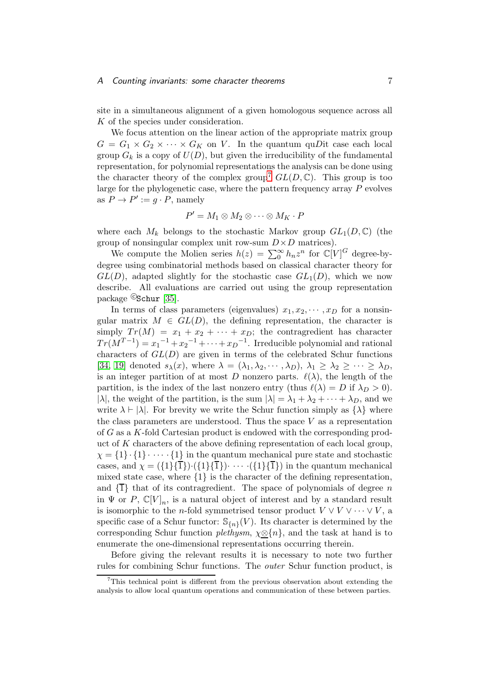#### A Counting invariants: some character theorems 7

site in a simultaneous alignment of a given homologous sequence across all K of the species under consideration.

We focus attention on the linear action of the appropriate matrix group  $G = G_1 \times G_2 \times \cdots \times G_K$  on V. In the quantum quDit case each local group  $G_k$  is a copy of  $U(D)$ , but given the irreducibility of the fundamental representation, for polynomial representations the analysis can be done using the character theory of the complex group<sup>[7](#page-6-0)</sup>  $GL(D, \mathbb{C})$ . This group is too large for the phylogenetic case, where the pattern frequency array  $P$  evolves as  $P \to P' := g \cdot P$ , namely

$$
P' = M_1 \otimes M_2 \otimes \cdots \otimes M_K \cdot P
$$

where each  $M_k$  belongs to the stochastic Markov group  $GL_1(D, \mathbb{C})$  (the group of nonsingular complex unit row-sum  $D \times D$  matrices).

We compute the Molien series  $h(z) = \sum_{0}^{\infty} h_n z^n$  for  $\mathbb{C}[V]^G$  degree-bydegree using combinatorial methods based on classical character theory for  $GL(D)$ , adapted slightly for the stochastic case  $GL_1(D)$ , which we now describe. All evaluations are carried out using the group representation package Cschur [\[35\]](#page-10-15).

In terms of class parameters (eigenvalues)  $x_1, x_2, \dots, x_D$  for a nonsingular matrix  $M \in GL(D)$ , the defining representation, the character is simply  $Tr(M) = x_1 + x_2 + \cdots + x_D$ ; the contragredient has character  $Tr(M^{T-1}) = x_1^{-1} + x_2^{-1} + \cdots + x_D^{-1}$ . Irreducible polynomial and rational characters of  $GL(D)$  are given in terms of the celebrated Schur functions [\[34,](#page-10-16) [19\]](#page-10-17) denoted  $s_{\lambda}(x)$ , where  $\lambda = (\lambda_1, \lambda_2, \cdots, \lambda_D)$ ,  $\lambda_1 \geq \lambda_2 \geq \cdots \geq \lambda_D$ , is an integer partition of at most D nonzero parts.  $\ell(\lambda)$ , the length of the partition, is the index of the last nonzero entry (thus  $\ell(\lambda) = D$  if  $\lambda_D > 0$ ). | $\lambda$ |, the weight of the partition, is the sum  $|\lambda| = \lambda_1 + \lambda_2 + \cdots + \lambda_D$ , and we write  $\lambda \vdash |\lambda|$ . For brevity we write the Schur function simply as  $\{\lambda\}$  where the class parameters are understood. Thus the space  $V$  as a representation of G as a K-fold Cartesian product is endowed with the corresponding product of  $K$  characters of the above defining representation of each local group,  $\chi = \{1\} \cdot \{1\} \cdot \cdots \cdot \{1\}$  in the quantum mechanical pure state and stochastic cases, and  $\chi = (\{1\}\{\overline{1}\}) \cdot (\{1\}\{\overline{1}\}) \cdot \cdots \cdot (\{1\}\{\overline{1}\})$  in the quantum mechanical mixed state case, where {1} is the character of the defining representation, and  $\{\overline{1}\}\$  that of its contragredient. The space of polynomials of degree n in  $\Psi$  or  $P$ ,  $\mathbb{C}[V]_n$ , is a natural object of interest and by a standard result is isomorphic to the *n*-fold symmetrised tensor product  $V \vee V \vee \cdots \vee V$ , a specific case of a Schur functor:  $\mathbb{S}_{\{n\}}(V)$ . Its character is determined by the corresponding Schur function *plethysm*, χ⊗{n}, and the task at hand is to enumerate the one-dimensional representations occurring therein.

Before giving the relevant results it is necessary to note two further rules for combining Schur functions. The *outer* Schur function product, is

<span id="page-6-0"></span><sup>&</sup>lt;sup>7</sup>This technical point is different from the previous observation about extending the analysis to allow local quantum operations and communication of these between parties.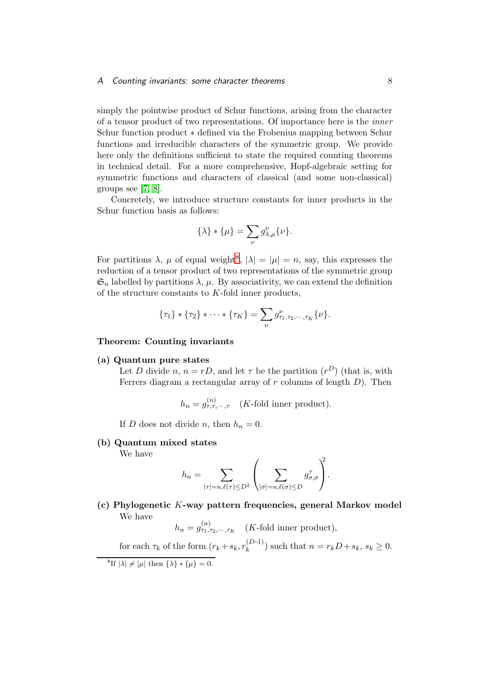#### A Counting invariants: some character theorems 8

simply the pointwise product of Schur functions, arising from the character of a tensor product of two representations. Of importance here is the *inner* Schur function product ∗ defined via the Frobenius mapping between Schur functions and irreducible characters of the symmetric group. We provide here only the definitions sufficient to state the required counting theorems in technical detail. For a more comprehensive, Hopf-algebraic setting for symmetric functions and characters of classical (and some non-classical) groups see [\[7,](#page-9-12) [8\]](#page-9-13).

Concretely, we introduce structure constants for inner products in the Schur function basis as follows:

$$
\{\lambda\} * \{\mu\} = \sum_{\nu} g_{\lambda,\mu}^{\nu} \{\nu\}.
$$

For partitions  $\lambda$ ,  $\mu$  of equal weight<sup>[8](#page-7-0)</sup>,  $|\lambda| = |\mu| = n$ , say, this expresses the reduction of a tensor product of two representations of the symmetric group  $\mathfrak{S}_n$  labelled by partitions  $\lambda$ ,  $\mu$ . By associativity, we can extend the definition of the structure constants to K-fold inner products,

$$
\{\tau_1\} * \{\tau_2\} * \cdots * \{\tau_K\} = \sum_{\nu} g^{\nu}_{\tau_1, \tau_2, \cdots, \tau_K} {\{\nu\}}.
$$

#### Theorem: Counting invariants

#### (a) Quantum pure states

Let D divide n,  $n = rD$ , and let  $\tau$  be the partition  $(r^D)$  (that is, with Ferrers diagram a rectangular array of  $r$  columns of length  $D$ ). Then

$$
h_n = g_{\tau,\tau,\cdots,\tau}^{(n)} \quad (K\text{-fold inner product}).
$$

If D does not divide n, then  $h_n = 0$ .

#### (b) Quantum mixed states

We have

$$
h_n = \sum_{|\tau|=n, \ell(\tau)\leq D^2} \left( \sum_{|\sigma|=n, \ell(\sigma)\leq D} g_{\sigma,\sigma}^{\tau} \right)^2.
$$

### (c) Phylogenetic K-way pattern frequencies, general Markov model We have

 $h_n = g_{\tau_1, \tau_2, \cdots, \tau_K}^{(n)}$  (*K*-fold inner product), for each  $\tau_k$  of the form  $(r_k + s_k, r_k^{(D-1)})$  $(k^{D-1})$  such that  $n = r_k D + s_k$ ,  $s_k \geq 0$ .

<span id="page-7-0"></span><sup>&</sup>lt;sup>8</sup>If  $|\lambda| \neq |\mu|$  then  $\{\lambda\} * {\mu} = 0$ .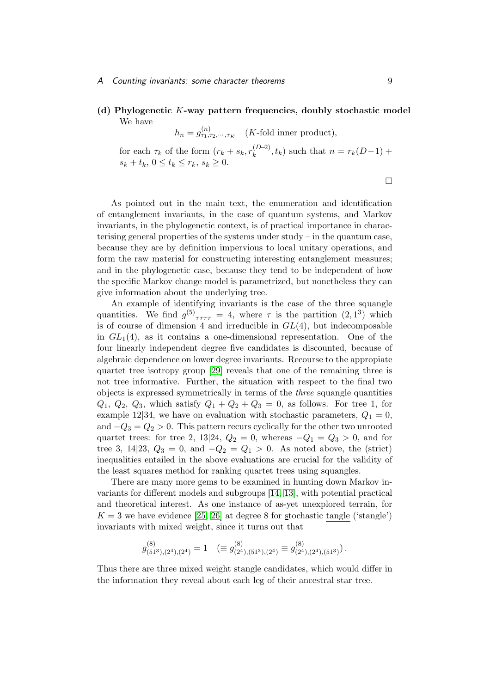#### A Counting invariants: some character theorems 9

(d) Phylogenetic K-way pattern frequencies, doubly stochastic model We have

 $h_n = g_{\tau_1, \tau_2, \cdots, \tau_K}^{(n)}$  (*K*-fold inner product),

for each  $\tau_k$  of the form  $(r_k + s_k, r_k^{(D-2)})$  $(k^{D-2})$ ,  $t_k$ ) such that  $n = r_k(D-1) +$  $s_k + t_k, 0 \le t_k \le r_k, s_k \ge 0.$ 

 $\Box$ 

As pointed out in the main text, the enumeration and identification of entanglement invariants, in the case of quantum systems, and Markov invariants, in the phylogenetic context, is of practical importance in characterising general properties of the systems under study – in the quantum case, because they are by definition impervious to local unitary operations, and form the raw material for constructing interesting entanglement measures; and in the phylogenetic case, because they tend to be independent of how the specific Markov change model is parametrized, but nonetheless they can give information about the underlying tree.

An example of identifying invariants is the case of the three squangle quantities. We find  $g^{(5)}_{\tau\tau\tau\tau} = 4$ , where  $\tau$  is the partition  $(2,1^3)$  which is of course of dimension 4 and irreducible in  $GL(4)$ , but indecomposable in  $GL_1(4)$ , as it contains a one-dimensional representation. One of the four linearly independent degree five candidates is discounted, because of algebraic dependence on lower degree invariants. Recourse to the appropiate quartet tree isotropy group [\[29\]](#page-10-12) reveals that one of the remaining three is not tree informative. Further, the situation with respect to the final two objects is expressed symmetrically in terms of the *three* squangle quantities  $Q_1, Q_2, Q_3$ , which satisfy  $Q_1 + Q_2 + Q_3 = 0$ , as follows. For tree 1, for example 12|34, we have on evaluation with stochastic parameters,  $Q_1 = 0$ , and  $-Q_3 = Q_2 > 0$ . This pattern recurs cyclically for the other two unrooted quartet trees: for tree 2, 13|24,  $Q_2 = 0$ , whereas  $-Q_1 = Q_3 > 0$ , and for tree 3, 14|23,  $Q_3 = 0$ , and  $-Q_2 = Q_1 > 0$ . As noted above, the (strict) inequalities entailed in the above evaluations are crucial for the validity of the least squares method for ranking quartet trees using squangles.

There are many more gems to be examined in hunting down Markov invariants for different models and subgroups [\[14,](#page-9-14) [13\]](#page-9-15), with potential practical and theoretical interest. As one instance of as-yet unexplored terrain, for  $K = 3$  we have evidence [\[25,](#page-10-18) [26\]](#page-10-11) at degree 8 for stochastic tangle ('stangle') invariants with mixed weight, since it turns out that

$$
g^{(8)}_{(51^3),(2^4),(2^4)}=1\quad (\equiv g^{(8)}_{(2^4),(51^3),(2^4)}\equiv g^{(8)}_{(2^4),(2^4),(51^3)} )\,.
$$

Thus there are three mixed weight stangle candidates, which would differ in the information they reveal about each leg of their ancestral star tree.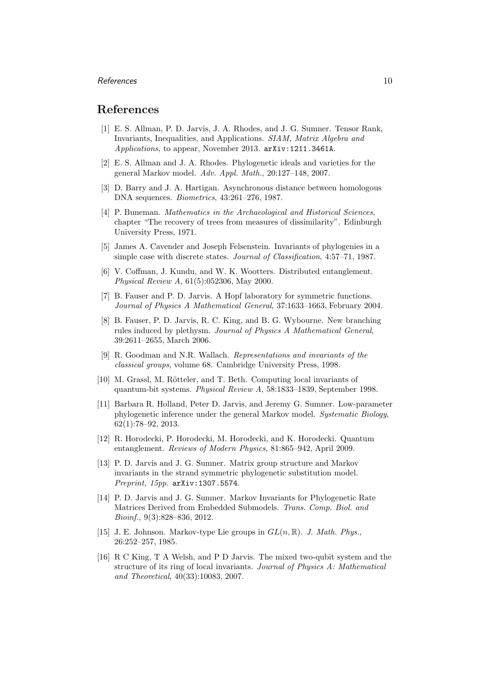#### $References$  10

# <span id="page-9-11"></span>References

- [1] E. S. Allman, P. D. Jarvis, J. A. Rhodes, and J. G. Sumner. Tensor Rank, Invariants, Inequalities, and Applications. *SIAM, Matrix Algebra and Applications*, to appear, November 2013. arXiv:1211.3461A.
- <span id="page-9-10"></span><span id="page-9-5"></span>[2] E. S. Allman and J. A. Rhodes. Phylogenetic ideals and varieties for the general Markov model. *Adv. Appl. Math.*, 20:127–148, 2007.
- <span id="page-9-7"></span>[3] D. Barry and J. A. Hartigan. Asynchronous distance between homologous DNA sequences. *Biometrics*, 43:261–276, 1987.
- [4] P. Buneman. *Mathematics in the Archaeological and Historical Sciences*, chapter "The recovery of trees from measures of dissimilarity". Edinburgh University Press, 1971.
- <span id="page-9-9"></span>[5] James A. Cavender and Joseph Felsenstein. Invariants of phylogenies in a simple case with discrete states. *Journal of Classification*, 4:57–71, 1987.
- <span id="page-9-1"></span>[6] V. Coffman, J. Kundu, and W. K. Wootters. Distributed entanglement. *Physical Review A*, 61(5):052306, May 2000.
- <span id="page-9-12"></span>[7] B. Fauser and P. D. Jarvis. A Hopf laboratory for symmetric functions. *Journal of Physics A Mathematical General*, 37:1633–1663, February 2004.
- <span id="page-9-13"></span>[8] B. Fauser, P. D. Jarvis, R. C. King, and B. G. Wybourne. New branching rules induced by plethysm. *Journal of Physics A Mathematical General*, 39:2611–2655, March 2006.
- <span id="page-9-0"></span>[9] R. Goodman and N.R. Wallach. *Representations and invariants of the classical groups*, volume 68. Cambridge University Press, 1998.
- <span id="page-9-3"></span>[10] M. Grassl, M. Rötteler, and T. Beth. Computing local invariants of quantum-bit systems. *Physical Review A*, 58:1833–1839, September 1998.
- <span id="page-9-8"></span>[11] Barbara R. Holland, Peter D. Jarvis, and Jeremy G. Sumner. Low-parameter phylogenetic inference under the general Markov model. *Systematic Biology*, 62(1):78–92, 2013.
- <span id="page-9-2"></span>[12] R. Horodecki, P. Horodecki, M. Horodecki, and K. Horodecki. Quantum entanglement. *Reviews of Modern Physics*, 81:865–942, April 2009.
- <span id="page-9-15"></span>[13] P. D. Jarvis and J. G. Sumner. Matrix group structure and Markov invariants in the strand symmetric phylogenetic substitution model. *Preprint, 15pp*. arXiv:1307.5574.
- <span id="page-9-14"></span>[14] P. D. Jarvis and J. G. Sumner. Markov Invariants for Phylogenetic Rate Matrices Derived from Embedded Submodels. *Trans. Comp. Biol. and Bioinf.*, 9(3):828–836, 2012.
- <span id="page-9-6"></span>[15] J. E. Johnson. Markov-type Lie groups in  $GL(n,\mathbb{R})$ . *J. Math. Phys.*, 26:252–257, 1985.
- <span id="page-9-4"></span>[16] R C King, T A Welsh, and P D Jarvis. The mixed two-qubit system and the structure of its ring of local invariants. *Journal of Physics A: Mathematical and Theoretical*, 40(33):10083, 2007.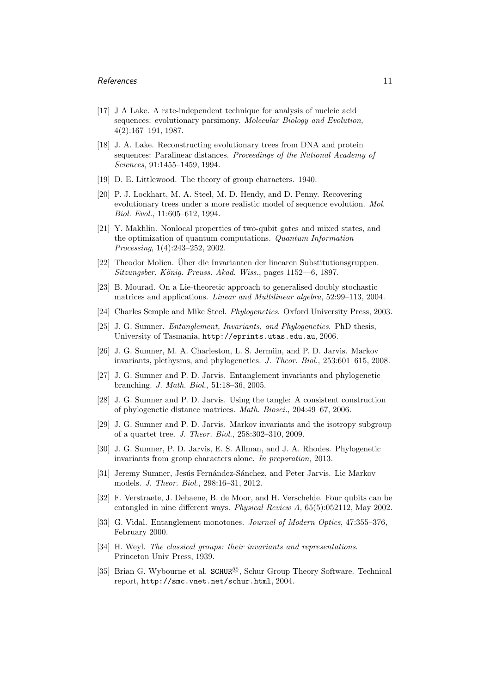#### References and the set of the set of the set of the set of the set of the set of the set of the set of the set of the set of the set of the set of the set of the set of the set of the set of the set of the set of the set o

- <span id="page-10-13"></span>[17] J A Lake. A rate-independent technique for analysis of nucleic acid sequences: evolutionary parsimony. *Molecular Biology and Evolution*, 4(2):167–191, 1987.
- <span id="page-10-7"></span>[18] J. A. Lake. Reconstructing evolutionary trees from DNA and protein sequences: Paralinear distances. *Proceedings of the National Academy of Sciences*, 91:1455–1459, 1994.
- <span id="page-10-17"></span><span id="page-10-8"></span>[19] D. E. Littlewood. The theory of group characters. 1940.
- [20] P. J. Lockhart, M. A. Steel, M. D. Hendy, and D. Penny. Recovering evolutionary trees under a more realistic model of sequence evolution. *Mol. Biol. Evol.*, 11:605–612, 1994.
- <span id="page-10-3"></span>[21] Y. Makhlin. Nonlocal properties of two-qubit gates and mixed states, and the optimization of quantum computations. *Quantum Information Processing*, 1(4):243–252, 2002.
- <span id="page-10-6"></span><span id="page-10-0"></span>[22] Theodor Molien. Uber die Invarianten der linearen Substitutionsgruppen. *Sitzungsber. K¨onig. Preuss. Akad. Wiss.*, pages 1152—6, 1897.
- <span id="page-10-4"></span>[23] B. Mourad. On a Lie-theoretic approach to generalised doubly stochastic matrices and applications. *Linear and Multilinear algebra*, 52:99–113, 2004.
- <span id="page-10-18"></span>[24] Charles Semple and Mike Steel. *Phylogenetics*. Oxford University Press, 2003.
- [25] J. G. Sumner. *Entanglement, Invariants, and Phylogenetics*. PhD thesis, University of Tasmania, http://eprints.utas.edu.au, 2006.
- <span id="page-10-11"></span>[26] J. G. Sumner, M. A. Charleston, L. S. Jermiin, and P. D. Jarvis. Markov invariants, plethysms, and phylogenetics. *J. Theor. Biol.*, 253:601–615, 2008.
- <span id="page-10-9"></span>[27] J. G. Sumner and P. D. Jarvis. Entanglement invariants and phylogenetic branching. *J. Math. Biol.*, 51:18–36, 2005.
- <span id="page-10-10"></span>[28] J. G. Sumner and P. D. Jarvis. Using the tangle: A consistent construction of phylogenetic distance matrices. *Math. Biosci.*, 204:49–67, 2006.
- <span id="page-10-12"></span>[29] J. G. Sumner and P. D. Jarvis. Markov invariants and the isotropy subgroup of a quartet tree. *J. Theor. Biol.*, 258:302–310, 2009.
- <span id="page-10-14"></span>[30] J. G. Sumner, P. D. Jarvis, E. S. Allman, and J. A. Rhodes. Phylogenetic invariants from group characters alone. *In preparation*, 2013.
- <span id="page-10-5"></span>[31] Jeremy Sumner, Jesús Fernández-Sánchez, and Peter Jarvis. Lie Markov models. *J. Theor. Biol.*, 298:16–31, 2012.
- <span id="page-10-2"></span>[32] F. Verstraete, J. Dehaene, B. de Moor, and H. Verschelde. Four qubits can be entangled in nine different ways. *Physical Review A*, 65(5):052112, May 2002.
- <span id="page-10-1"></span>[33] G. Vidal. Entanglement monotones. *Journal of Modern Optics*, 47:355–376, February 2000.
- <span id="page-10-16"></span>[34] H. Weyl. *The classical groups: their invariants and representations*. Princeton Univ Press, 1939.
- <span id="page-10-15"></span>[35] Brian G. Wybourne et al. SCHUR<sup>©</sup>, Schur Group Theory Software. Technical report, http://smc.vnet.net/schur.html, 2004.